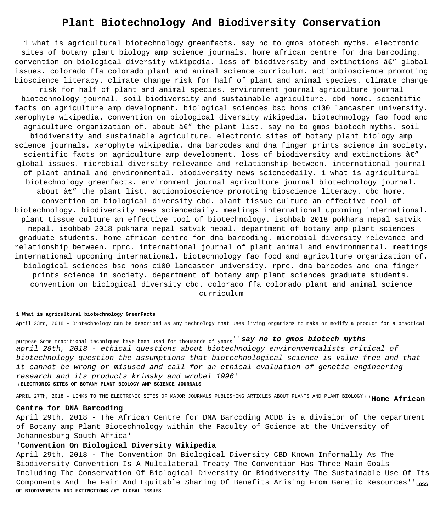# **Plant Biotechnology And Biodiversity Conservation**

1 what is agricultural biotechnology greenfacts. say no to gmos biotech myths. electronic sites of botany plant biology amp science journals. home african centre for dna barcoding. convention on biological diversity wikipedia. loss of biodiversity and extinctions  $\hat{a}\in$ " global issues. colorado ffa colorado plant and animal science curriculum. actionbioscience promoting bioscience literacy. climate change risk for half of plant and animal species. climate change risk for half of plant and animal species. environment journal agriculture journal biotechnology journal. soil biodiversity and sustainable agriculture. cbd home. scientific facts on agriculture amp development. biological sciences bsc hons c100 lancaster university. xerophyte wikipedia. convention on biological diversity wikipedia. biotechnology fao food and agriculture organization of. about  $\hat{a}\in$ " the plant list. say no to gmos biotech myths. soil biodiversity and sustainable agriculture. electronic sites of botany plant biology amp science journals. xerophyte wikipedia. dna barcodes and dna finger prints science in society. scientific facts on agriculture amp development. loss of biodiversity and extinctions  $\hat{a}\in T$ global issues. microbial diversity relevance and relationship between. international journal of plant animal and environmental. biodiversity news sciencedaily. 1 what is agricultural biotechnology greenfacts. environment journal agriculture journal biotechnology journal. about  $\hat{a}\in$ " the plant list. actionbioscience promoting bioscience literacy. cbd home. convention on biological diversity cbd. plant tissue culture an effective tool of biotechnology. biodiversity news sciencedaily. meetings international upcoming international. plant tissue culture an effective tool of biotechnology. isohbab 2018 pokhara nepal satvik nepal. isohbab 2018 pokhara nepal satvik nepal. department of botany amp plant sciences graduate students. home african centre for dna barcoding. microbial diversity relevance and relationship between. rprc. international journal of plant animal and environmental. meetings international upcoming international. biotechnology fao food and agriculture organization of. biological sciences bsc hons c100 lancaster university. rprc. dna barcodes and dna finger prints science in society. department of botany amp plant sciences graduate students. convention on biological diversity cbd. colorado ffa colorado plant and animal science curriculum

#### **1 What is agricultural biotechnology GreenFacts**

April 23rd, 2018 - Biotechnology can be described as any technology that uses living organisms to make or modify a product for a practical

purpose Some traditional techniques have been used for thousands of years''**say no to gmos biotech myths** april 28th, 2018 - ethical questions about biotechnology environmentalists critical of biotechnology question the assumptions that biotechnological science is value free and that it cannot be wrong or misused and call for an ethical evaluation of genetic engineering research and its products krimsky and wrubel 1996' '**ELECTRONIC SITES OF BOTANY PLANT BIOLOGY AMP SCIENCE JOURNALS**

APRIL 27TH, 2018 - LINKS TO THE ELECTRONIC SITES OF MAJOR JOURNALS PUBLISHING ARTICLES ABOUT PLANTS AND PLANT BIOLOGY''**Home African**

#### **Centre for DNA Barcoding**

April 29th, 2018 - The African Centre for DNA Barcoding ACDB is a division of the department of Botany amp Plant Biotechnology within the Faculty of Science at the University of Johannesburg South Africa'

## '**Convention On Biological Diversity Wikipedia**

April 29th, 2018 - The Convention On Biological Diversity CBD Known Informally As The Biodiversity Convention Is A Multilateral Treaty The Convention Has Three Main Goals Including The Conservation Of Biological Diversity Or Biodiversity The Sustainable Use Of Its Components And The Fair And Equitable Sharing Of Benefits Arising From Genetic Resources''<sub>LOSS</sub> OF BIODIVERSITY AND EXTINCTIONS â€" GLOBAL ISSUES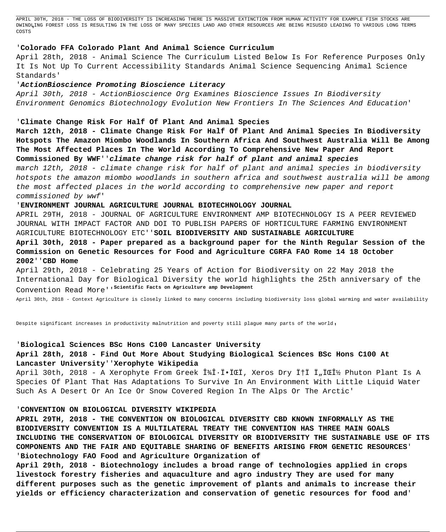APRIL 30TH, 2018 - THE LOSS OF BIODIVERSITY IS INCREASING THERE IS MASSIVE EXTINCTION FROM HUMAN ACTIVITY FOR EXAMPLE FISH STOCKS ARE DWINDLING FOREST LOSS IS RESULTING IN THE LOSS OF MANY SPECIES LAND AND OTHER RESOURCES ARE BEING MISUSED LEADING TO VARIOUS LONG TERMS COSTS'

## '**Colorado FFA Colorado Plant And Animal Science Curriculum**

April 28th, 2018 - Animal Science The Curriculum Listed Below Is For Reference Purposes Only It Is Not Up To Current Accessibility Standards Animal Science Sequencing Animal Science Standards'

### '**ActionBioscience Promoting Bioscience Literacy**

April 30th, 2018 - ActionBioscience Org Examines Bioscience Issues In Biodiversity Environment Genomics Biotechnology Evolution New Frontiers In The Sciences And Education'

## '**Climate Change Risk For Half Of Plant And Animal Species**

**March 12th, 2018 - Climate Change Risk For Half Of Plant And Animal Species In Biodiversity Hotspots The Amazon Miombo Woodlands In Southern Africa And Southwest Australia Will Be Among The Most Affected Places In The World According To Comprehensive New Paper And Report Commissioned By WWF**''**climate change risk for half of plant and animal species** march 12th, 2018 - climate change risk for half of plant and animal species in biodiversity hotspots the amazon miombo woodlands in southern africa and southwest australia will be among the most affected places in the world according to comprehensive new paper and report commissioned by wwf'

#### '**ENVIRONMENT JOURNAL AGRICULTURE JOURNAL BIOTECHNOLOGY JOURNAL**

APRIL 29TH, 2018 - JOURNAL OF AGRICULTURE ENVIRONMENT AMP BIOTECHNOLOGY IS A PEER REVIEWED JOURNAL WITH IMPACT FACTOR AND DOI TO PUBLISH PAPERS OF HORTICULTURE FARMING ENVIRONMENT AGRICULTURE BIOTECHNOLOGY ETC''**SOIL BIODIVERSITY AND SUSTAINABLE AGRICULTURE**

## **April 30th, 2018 - Paper prepared as a background paper for the Ninth Regular Session of the Commission on Genetic Resources for Food and Agriculture CGRFA FAO Rome 14 18 October 2002**''**CBD Home**

April 29th, 2018 - Celebrating 25 Years of Action for Biodiversity on 22 May 2018 the International Day for Biological Diversity the world highlights the 25th anniversary of the Convention Read More''**Scientific Facts on Agriculture amp Development**

April 30th, 2018 - Context Agriculture is closely linked to many concerns including biodiversity loss global warming and water availability

Despite significant increases in productivity malnutrition and poverty still plague many parts of the world,

#### '**Biological Sciences BSc Hons C100 Lancaster University**

## **April 28th, 2018 - Find Out More About Studying Biological Sciences BSc Hons C100 At Lancaster University**''**Xerophyte Wikipedia**

April 30th, 2018 - A Xerophyte From Greek ξηϕόÏ, Xeros Dry φÏ Ï"όν Phuton Plant Is A Species Of Plant That Has Adaptations To Survive In An Environment With Little Liquid Water Such As A Desert Or An Ice Or Snow Covered Region In The Alps Or The Arctic'

#### '**CONVENTION ON BIOLOGICAL DIVERSITY WIKIPEDIA**

**APRIL 29TH, 2018 - THE CONVENTION ON BIOLOGICAL DIVERSITY CBD KNOWN INFORMALLY AS THE BIODIVERSITY CONVENTION IS A MULTILATERAL TREATY THE CONVENTION HAS THREE MAIN GOALS INCLUDING THE CONSERVATION OF BIOLOGICAL DIVERSITY OR BIODIVERSITY THE SUSTAINABLE USE OF ITS COMPONENTS AND THE FAIR AND EQUITABLE SHARING OF BENEFITS ARISING FROM GENETIC RESOURCES**' '**Biotechnology FAO Food and Agriculture Organization of**

**April 29th, 2018 - Biotechnology includes a broad range of technologies applied in crops livestock forestry fisheries and aquaculture and agro industry They are used for many different purposes such as the genetic improvement of plants and animals to increase their yields or efficiency characterization and conservation of genetic resources for food and**'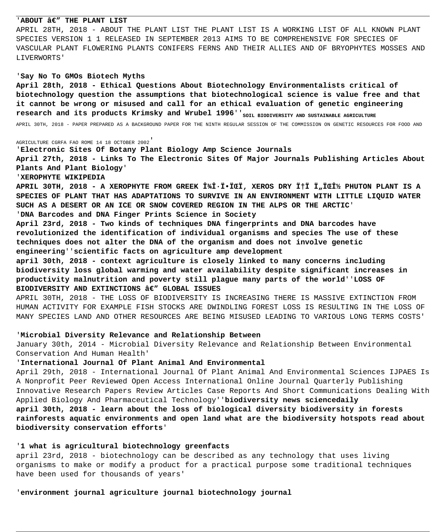## 'ABOUT  $\hat{a}\in$ " THE PLANT LIST

APRIL 28TH, 2018 - ABOUT THE PLANT LIST THE PLANT LIST IS A WORKING LIST OF ALL KNOWN PLANT SPECIES VERSION 1 1 RELEASED IN SEPTEMBER 2013 AIMS TO BE COMPREHENSIVE FOR SPECIES OF VASCULAR PLANT FLOWERING PLANTS CONIFERS FERNS AND THEIR ALLIES AND OF BRYOPHYTES MOSSES AND LIVERWORTS'

#### 'Say No To GMOs Biotech Myths

April 28th, 2018 - Ethical Questions About Biotechnology Environmentalists critical of biotechnology question the assumptions that biotechnological science is value free and that it cannot be wrong or misused and call for an ethical evaluation of genetic engineering research and its products Krimsky and Wrubel 1996' 'soil BIODIVERSITY AND SUSTAINABLE AGRICULTURE

APRIL 30TH, 2018 - PAPER PREPARED AS A BACKGROUND PAPER FOR THE NINTH REGULAR SESSION OF THE COMMISSION ON GENETIC RESOURCES FOR FOOD AND

AGRICULTURE CGRFA FAO ROME 14 18 OCTOBER 2002

'Electronic Sites Of Botany Plant Biology Amp Science Journals

April 27th, 2018 - Links To The Electronic Sites Of Major Journals Publishing Articles About Plants And Plant Biology'

'XEROPHYTE WIKIPEDIA

APRIL 30TH, 2018 - A XEROPHYTE FROM GREEK μηÏ·ÏŒÏ, XEROS DRY φÏ Ï"όν PHUTON PLANT IS A SPECIES OF PLANT THAT HAS ADAPTATIONS TO SURVIVE IN AN ENVIRONMENT WITH LITTLE LIQUID WATER SUCH AS A DESERT OR AN ICE OR SNOW COVERED REGION IN THE ALPS OR THE ARCTIC'

'DNA Barcodes and DNA Finger Prints Science in Society

April 23rd, 2018 - Two kinds of techniques DNA fingerprints and DNA barcodes have revolutionized the identification of individual organisms and species The use of these techniques does not alter the DNA of the organism and does not involve genetic engineering 'scientific facts on agriculture amp development

april 30th, 2018 - context agriculture is closely linked to many concerns including biodiversity loss global warming and water availability despite significant increases in productivity malnutrition and poverty still plague many parts of the world' 'LOSS OF BIODIVERSITY AND EXTINCTIONS  $\hat{a}\epsilon''$  GLOBAL ISSUES

APRIL 30TH, 2018 - THE LOSS OF BIODIVERSITY IS INCREASING THERE IS MASSIVE EXTINCTION FROM HUMAN ACTIVITY FOR EXAMPLE FISH STOCKS ARE DWINDLING FOREST LOSS IS RESULTING IN THE LOSS OF MANY SPECIES LAND AND OTHER RESOURCES ARE BEING MISUSED LEADING TO VARIOUS LONG TERMS COSTS'

#### 'Microbial Diversity Relevance and Relationship Between

January 30th, 2014 - Microbial Diversity Relevance and Relationship Between Environmental Conservation And Human Health'

#### 'International Journal Of Plant Animal And Environmental

April 29th, 2018 - International Journal Of Plant Animal And Environmental Sciences IJPAES Is A Nonprofit Peer Reviewed Open Access International Online Journal Quarterly Publishing Innovative Research Papers Review Articles Case Reports And Short Communications Dealing With Applied Biology And Pharmaceutical Technology''biodiversity news sciencedaily april 30th, 2018 - learn about the loss of biological diversity biodiversity in forests rainforests aquatic environments and open land what are the biodiversity hotspots read about biodiversity conservation efforts'

#### '1 what is agricultural biotechnology greenfacts

april 23rd, 2018 - biotechnology can be described as any technology that uses living organisms to make or modify a product for a practical purpose some traditional techniques have been used for thousands of years'

'environment journal agriculture journal biotechnology journal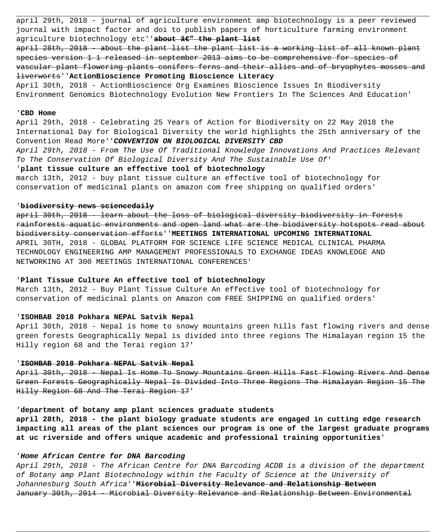april 29th, 2018 - journal of agriculture environment amp biotechnology is a peer reviewed journal with impact factor and doi to publish papers of horticulture farming environment agriculture biotechnology etc''about âe" the plant list

april 28th, 2018 - about the plant list the plant list is a working list of all known plant species version 1 1 released in september 2013 aims to be comprehensive for species of vascular plant flowering plants conifers ferns and their allies and of bryophytes mosses and liverworts''**ActionBioscience Promoting Bioscience Literacy**

April 30th, 2018 - ActionBioscience Org Examines Bioscience Issues In Biodiversity Environment Genomics Biotechnology Evolution New Frontiers In The Sciences And Education'

#### '**CBD Home**

April 29th, 2018 - Celebrating 25 Years of Action for Biodiversity on 22 May 2018 the International Day for Biological Diversity the world highlights the 25th anniversary of the Convention Read More''**CONVENTION ON BIOLOGICAL DIVERSITY CBD**

April 29th, 2018 - From The Use Of Traditional Knowledge Innovations And Practices Relevant To The Conservation Of Biological Diversity And The Sustainable Use Of'

## '**plant tissue culture an effective tool of biotechnology**

march 13th, 2012 - buy plant tissue culture an effective tool of biotechnology for conservation of medicinal plants on amazon com free shipping on qualified orders'

## '**biodiversity news sciencedaily**

april 30th, 2018 - learn about the loss of biological diversity biodiversity in forests rainforests aquatic environments and open land what are the biodiversity hotspots read about biodiversity conservation efforts''**MEETINGS INTERNATIONAL UPCOMING INTERNATIONAL** APRIL 30TH, 2018 - GLOBAL PLATFORM FOR SCIENCE LIFE SCIENCE MEDICAL CLINICAL PHARMA TECHNOLOGY ENGINEERING AMP MANAGEMENT PROFESSIONALS TO EXCHANGE IDEAS KNOWLEDGE AND NETWORKING AT 300 MEETINGS INTERNATIONAL CONFERENCES'

## '**Plant Tissue Culture An effective tool of biotechnology**

March 13th, 2012 - Buy Plant Tissue Culture An effective tool of biotechnology for conservation of medicinal plants on Amazon com FREE SHIPPING on qualified orders'

#### '**ISOHBAB 2018 Pokhara NEPAL Satvik Nepal**

April 30th, 2018 - Nepal is home to snowy mountains green hills fast flowing rivers and dense green forests Geographically Nepal is divided into three regions The Himalayan region 15 the Hilly region 68 and the Terai region 17'

## '**ISOHBAB 2018 Pokhara NEPAL Satvik Nepal**

April 30th, 2018 - Nepal Is Home To Snowy Mountains Green Hills Fast Flowing Rivers And Dense Green Forests Geographically Nepal Is Divided Into Three Regions The Himalayan Region 15 The Hilly Region 68 And The Terai Region 17'

## '**department of botany amp plant sciences graduate students**

**april 28th, 2018 - the plant biology graduate students are engaged in cutting edge research impacting all areas of the plant sciences our program is one of the largest graduate programs at uc riverside and offers unique academic and professional training opportunities**'

## '**Home African Centre for DNA Barcoding**

April 29th, 2018 - The African Centre for DNA Barcoding ACDB is a division of the department of Botany amp Plant Biotechnology within the Faculty of Science at the University of Johannesburg South Africa''**Microbial Diversity Relevance and Relationship Between** January 30th, 2014 - Microbial Diversity Relevance and Relationship Between Environmental